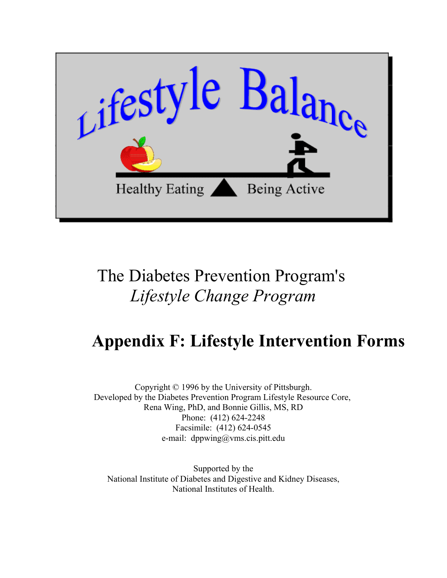

# The Diabetes Prevention Program's *Lifestyle Change Program*

# **Appendix F: Lifestyle Intervention Forms**

Copyright © 1996 by the University of Pittsburgh. Developed by the Diabetes Prevention Program Lifestyle Resource Core, Rena Wing, PhD, and Bonnie Gillis, MS, RD Phone: (412) 624-2248 Facsimile: (412) 624-0545 e-mail: dppwing@vms.cis.pitt.edu

Supported by the [National Institute of Diabetes and Digestive and Kidney Diseases,](http://www.niddk.nih.gov) [National Institutes of Health.](http://www.nih.gov)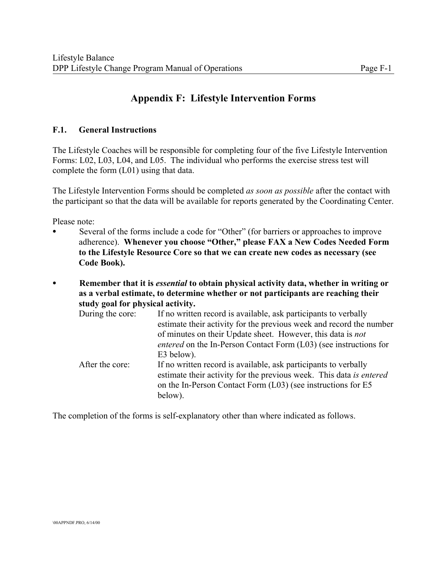# **Appendix F: Lifestyle Intervention Forms**

#### **F.1. General Instructions**

The Lifestyle Coaches will be responsible for completing four of the five Lifestyle Intervention Forms: L02, L03, L04, and L05. The individual who performs the exercise stress test will complete the form (L01) using that data.

The Lifestyle Intervention Forms should be completed *as soon as possible* after the contact with the participant so that the data will be available for reports generated by the Coordinating Center.

Please note:

- Several of the forms include a code for "Other" (for barriers or approaches to improve adherence). **Whenever you choose "Other," please FAX a New Codes Needed Form to the Lifestyle Resource Core so that we can create new codes as necessary (see Code Book).**
- C **Remember that it is** *essential* **to obtain physical activity data, whether in writing or as a verbal estimate, to determine whether or not participants are reaching their study goal for physical activity.**

| During the core: | If no written record is available, ask participants to verbally<br>estimate their activity for the previous week and record the number<br>of minutes on their Update sheet. However, this data is not             |
|------------------|-------------------------------------------------------------------------------------------------------------------------------------------------------------------------------------------------------------------|
|                  | <i>entered</i> on the In-Person Contact Form (L03) (see instructions for<br>E3 below).                                                                                                                            |
| After the core:  | If no written record is available, ask participants to verbally<br>estimate their activity for the previous week. This data is entered<br>on the In-Person Contact Form (L03) (see instructions for E5<br>below). |

The completion of the forms is self-explanatory other than where indicated as follows.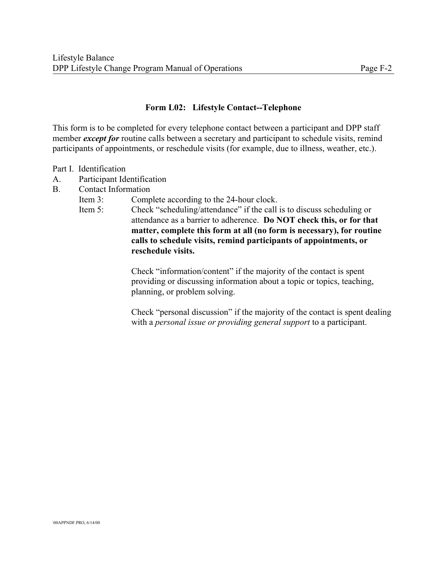#### **Form L02: Lifestyle Contact--Telephone**

This form is to be completed for every telephone contact between a participant and DPP staff member *except for* routine calls between a secretary and participant to schedule visits, remind participants of appointments, or reschedule visits (for example, due to illness, weather, etc.).

#### Part I. Identification

- A. Participant Identification
- B. Contact Information
	- Item 3: Complete according to the 24-hour clock.
	- Item 5: Check "scheduling/attendance" if the call is to discuss scheduling or attendance as a barrier to adherence. **Do NOT check this, or for that matter, complete this form at all (no form is necessary), for routine calls to schedule visits, remind participants of appointments, or reschedule visits.**

Check "information/content" if the majority of the contact is spent providing or discussing information about a topic or topics, teaching, planning, or problem solving.

Check "personal discussion" if the majority of the contact is spent dealing with a *personal issue or providing general support* to a participant.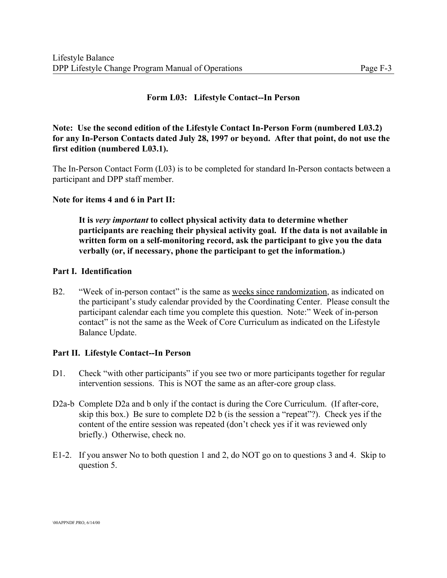#### **Form L03: Lifestyle Contact--In Person**

#### **Note: Use the second edition of the Lifestyle Contact In-Person Form (numbered L03.2) for any In-Person Contacts dated July 28, 1997 or beyond. After that point, do not use the first edition (numbered L03.1).**

The In-Person Contact Form (L03) is to be completed for standard In-Person contacts between a participant and DPP staff member.

#### **Note for items 4 and 6 in Part II:**

**It is** *very important* **to collect physical activity data to determine whether participants are reaching their physical activity goal. If the data is not available in written form on a self-monitoring record, ask the participant to give you the data verbally (or, if necessary, phone the participant to get the information.)**

#### **Part I. Identification**

B2. "Week of in-person contact" is the same as weeks since randomization, as indicated on the participant's study calendar provided by the Coordinating Center. Please consult the participant calendar each time you complete this question. Note:" Week of in-person contact" is not the same as the Week of Core Curriculum as indicated on the Lifestyle Balance Update.

#### **Part II. Lifestyle Contact--In Person**

- D1. Check "with other participants" if you see two or more participants together for regular intervention sessions. This is NOT the same as an after-core group class.
- D2a-b Complete D2a and b only if the contact is during the Core Curriculum. (If after-core, skip this box.) Be sure to complete D2 b (is the session a "repeat"?). Check yes if the content of the entire session was repeated (don't check yes if it was reviewed only briefly.) Otherwise, check no.
- E1-2. If you answer No to both question 1 and 2, do NOT go on to questions 3 and 4. Skip to question 5.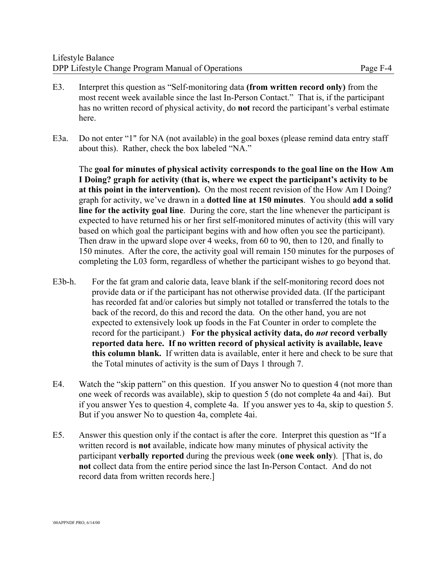- E3. Interpret this question as "Self-monitoring data **(from written record only)** from the most recent week available since the last In-Person Contact." That is, if the participant has no written record of physical activity, do **not** record the participant's verbal estimate here.
- E3a. Do not enter "1" for NA (not available) in the goal boxes (please remind data entry staff about this). Rather, check the box labeled "NA."

The **goal for minutes of physical activity corresponds to the goal line on the How Am I Doing? graph for activity (that is, where we expect the participant's activity to be at this point in the intervention).** On the most recent revision of the How Am I Doing? graph for activity, we've drawn in a **dotted line at 150 minutes**. You should **add a solid line for the activity goal line**. During the core, start the line whenever the participant is expected to have returned his or her first self-monitored minutes of activity (this will vary based on which goal the participant begins with and how often you see the participant). Then draw in the upward slope over 4 weeks, from 60 to 90, then to 120, and finally to 150 minutes. After the core, the activity goal will remain 150 minutes for the purposes of completing the L03 form, regardless of whether the participant wishes to go beyond that.

- E3b-h. For the fat gram and calorie data, leave blank if the self-monitoring record does not provide data or if the participant has not otherwise provided data. (If the participant has recorded fat and/or calories but simply not totalled or transferred the totals to the back of the record, do this and record the data. On the other hand, you are not expected to extensively look up foods in the Fat Counter in order to complete the record for the participant.) **For the physical activity data, do** *not* **record verbally reported data here. If no written record of physical activity is available, leave this column blank.** If written data is available, enter it here and check to be sure that the Total minutes of activity is the sum of Days 1 through 7.
- E4. Watch the "skip pattern" on this question. If you answer No to question 4 (not more than one week of records was available), skip to question 5 (do not complete 4a and 4ai). But if you answer Yes to question 4, complete 4a. If you answer yes to 4a, skip to question 5. But if you answer No to question 4a, complete 4ai.
- E5. Answer this question only if the contact is after the core. Interpret this question as "If a written record is **not** available, indicate how many minutes of physical activity the participant **verbally reported** during the previous week (**one week only**). [That is, do **not** collect data from the entire period since the last In-Person Contact. And do not record data from written records here.]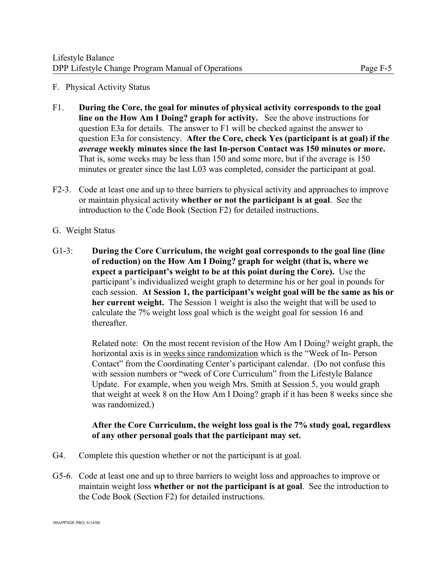#### F. Physical Activity Status

- F1. **During the Core, the goal for minutes of physical activity corresponds to the goal line on the How Am I Doing? graph for activity.** See the above instructions for question E3a for details. The answer to F1 will be checked against the answer to question E3a for consistency. **After the Core, check Yes (participant is at goal) if the** *average* **weekly minutes since the last In-person Contact was 150 minutes or more.**  That is, some weeks may be less than 150 and some more, but if the average is 150 minutes or greater since the last L03 was completed, consider the participant at goal.
- F2-3. Code at least one and up to three barriers to physical activity and approaches to improve or maintain physical activity **whether or not the participant is at goal**. See the introduction to the Code Book (Section F2) for detailed instructions.

#### G. Weight Status

G1-3: **During the Core Curriculum, the weight goal corresponds to the goal line (line of reduction) on the How Am I Doing? graph for weight (that is, where we expect a participant's weight to be at this point during the Core).** Use the participant's individualized weight graph to determine his or her goal in pounds for each session. **At Session 1, the participant's weight goal will be the same as his or her current weight.** The Session 1 weight is also the weight that will be used to calculate the 7% weight loss goal which is the weight goal for session 16 and thereafter.

> Related note: On the most recent revision of the How Am I Doing? weight graph, the horizontal axis is in weeks since randomization which is the "Week of In- Person Contact" from the Coordinating Center's participant calendar. (Do not confuse this with session numbers or "week of Core Curriculum" from the Lifestyle Balance Update. For example, when you weigh Mrs. Smith at Session 5, you would graph that weight at week 8 on the How Am I Doing? graph if it has been 8 weeks since she was randomized.)

#### **After the Core Curriculum, the weight loss goal is the 7% study goal, regardless of any other personal goals that the participant may set.**

- G4. Complete this question whether or not the participant is at goal.
- G5-6. Code at least one and up to three barriers to weight loss and approaches to improve or maintain weight loss **whether or not the participant is at goal**. See the introduction to the Code Book (Section F2) for detailed instructions.

\00APPNDF.PRO, 6/14/00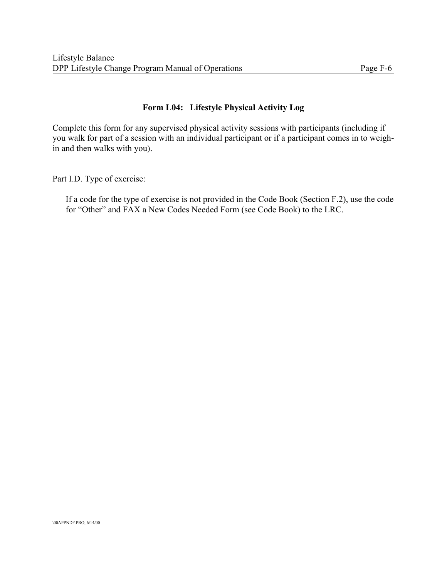#### **Form L04: Lifestyle Physical Activity Log**

Complete this form for any supervised physical activity sessions with participants (including if you walk for part of a session with an individual participant or if a participant comes in to weighin and then walks with you).

Part I.D. Type of exercise:

If a code for the type of exercise is not provided in the Code Book (Section F.2), use the code for "Other" and FAX a New Codes Needed Form (see Code Book) to the LRC.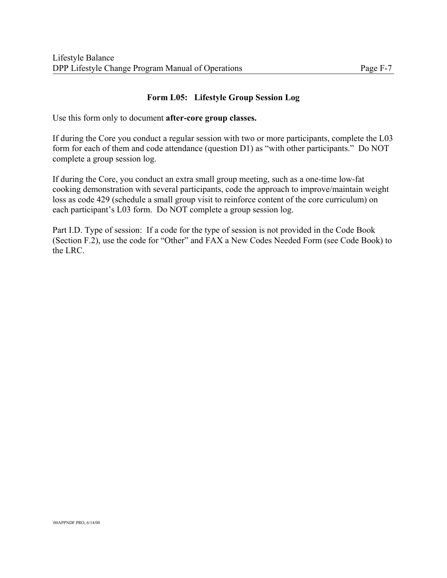## **Form L05: Lifestyle Group Session Log**

Use this form only to document **after-core group classes.**

If during the Core you conduct a regular session with two or more participants, complete the L03 form for each of them and code attendance (question D1) as "with other participants." Do NOT complete a group session log.

If during the Core, you conduct an extra small group meeting, such as a one-time low-fat cooking demonstration with several participants, code the approach to improve/maintain weight loss as code 429 (schedule a small group visit to reinforce content of the core curriculum) on each participant's L03 form. Do NOT complete a group session log.

Part I.D. Type of session: If a code for the type of session is not provided in the Code Book (Section F.2), use the code for "Other" and FAX a New Codes Needed Form (see Code Book) to the LRC.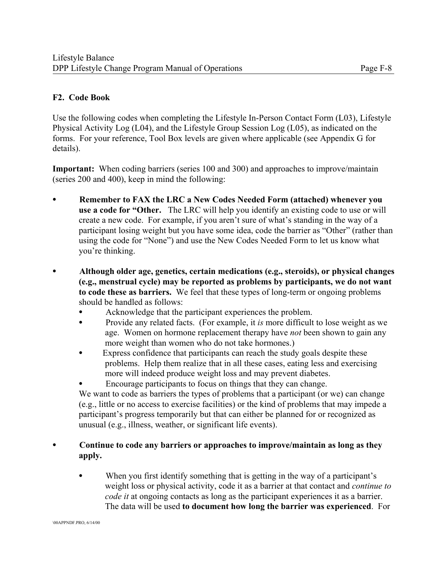#### **F2. Code Book**

Use the following codes when completing the Lifestyle In-Person Contact Form (L03), Lifestyle Physical Activity Log (L04), and the Lifestyle Group Session Log (L05), as indicated on the forms. For your reference, Tool Box levels are given where applicable (see Appendix G for details).

**Important:** When coding barriers (series 100 and 300) and approaches to improve/maintain (series 200 and 400), keep in mind the following:

- C **Remember to FAX the LRC a New Codes Needed Form (attached) whenever you use a code for "Other.** The LRC will help you identify an existing code to use or will create a new code. For example, if you aren't sure of what's standing in the way of a participant losing weight but you have some idea, code the barrier as "Other" (rather than using the code for "None") and use the New Codes Needed Form to let us know what you're thinking.
- C **Although older age, genetics, certain medications (e.g., steroids), or physical changes (e.g., menstrual cycle) may be reported as problems by participants, we do not want to code these as barriers.** We feel that these types of long-term or ongoing problems should be handled as follows:
	- Acknowledge that the participant experiences the problem.
	- Provide any related facts. (For example, it *is* more difficult to lose weight as we age. Women on hormone replacement therapy have *not* been shown to gain any more weight than women who do not take hormones.)
	- Express confidence that participants can reach the study goals despite these problems. Help them realize that in all these cases, eating less and exercising more will indeed produce weight loss and may prevent diabetes.
	- Encourage participants to focus on things that they can change.

We want to code as barriers the types of problems that a participant (or we) can change (e.g., little or no access to exercise facilities) or the kind of problems that may impede a participant's progress temporarily but that can either be planned for or recognized as unusual (e.g., illness, weather, or significant life events).

#### • Continue to code any barriers or approaches to improve/maintain as long as they **apply.**

• When you first identify something that is getting in the way of a participant's weight loss or physical activity, code it as a barrier at that contact and *continue to code it* at ongoing contacts as long as the participant experiences it as a barrier. The data will be used **to document how long the barrier was experienced**. For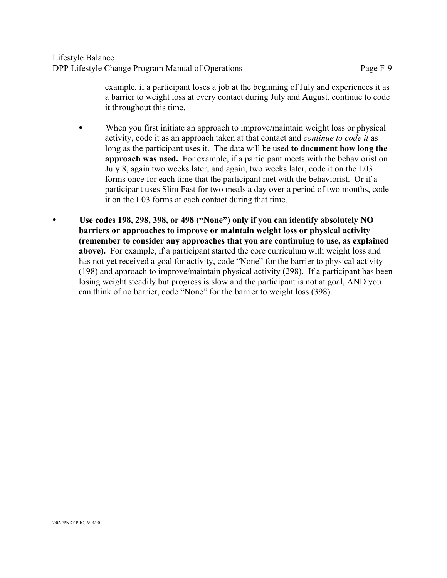example, if a participant loses a job at the beginning of July and experiences it as a barrier to weight loss at every contact during July and August, continue to code it throughout this time.

- When you first initiate an approach to improve/maintain weight loss or physical activity, code it as an approach taken at that contact and *continue to code it* as long as the participant uses it. The data will be used **to document how long the approach was used.** For example, if a participant meets with the behaviorist on July 8, again two weeks later, and again, two weeks later, code it on the L03 forms once for each time that the participant met with the behaviorist. Or if a participant uses Slim Fast for two meals a day over a period of two months, code it on the L03 forms at each contact during that time.
- C **Use codes 198, 298, 398, or 498 ("None") only if you can identify absolutely NO barriers or approaches to improve or maintain weight loss or physical activity (remember to consider any approaches that you are continuing to use, as explained above).** For example, if a participant started the core curriculum with weight loss and has not yet received a goal for activity, code "None" for the barrier to physical activity (198) and approach to improve/maintain physical activity (298). If a participant has been losing weight steadily but progress is slow and the participant is not at goal, AND you can think of no barrier, code "None" for the barrier to weight loss (398).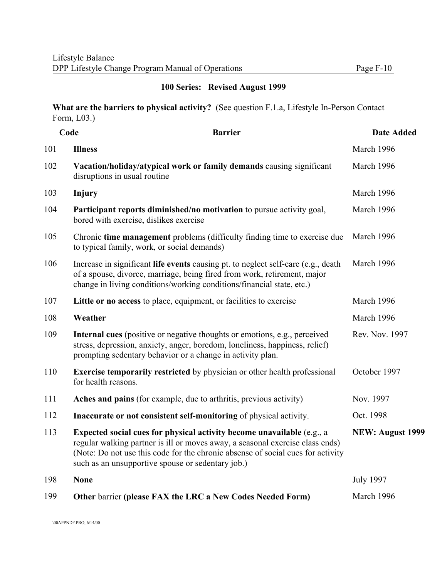### **100 Series: Revised August 1999**

**What are the barriers to physical activity?** (See question F.1.a, Lifestyle In-Person Contact Form, L03.)

|     | Code<br><b>Barrier</b>                                                                                                                                                                                                                                                                          | <b>Date Added</b>       |
|-----|-------------------------------------------------------------------------------------------------------------------------------------------------------------------------------------------------------------------------------------------------------------------------------------------------|-------------------------|
| 101 | <b>Illness</b>                                                                                                                                                                                                                                                                                  | March 1996              |
| 102 | Vacation/holiday/atypical work or family demands causing significant<br>disruptions in usual routine                                                                                                                                                                                            | March 1996              |
| 103 | Injury                                                                                                                                                                                                                                                                                          | March 1996              |
| 104 | Participant reports diminished/no motivation to pursue activity goal,<br>bored with exercise, dislikes exercise                                                                                                                                                                                 | March 1996              |
| 105 | Chronic time management problems (difficulty finding time to exercise due<br>to typical family, work, or social demands)                                                                                                                                                                        | March 1996              |
| 106 | Increase in significant life events causing pt. to neglect self-care (e.g., death<br>of a spouse, divorce, marriage, being fired from work, retirement, major<br>change in living conditions/working conditions/financial state, etc.)                                                          | March 1996              |
| 107 | Little or no access to place, equipment, or facilities to exercise                                                                                                                                                                                                                              | March 1996              |
| 108 | Weather                                                                                                                                                                                                                                                                                         | March 1996              |
| 109 | Internal cues (positive or negative thoughts or emotions, e.g., perceived<br>stress, depression, anxiety, anger, boredom, loneliness, happiness, relief)<br>prompting sedentary behavior or a change in activity plan.                                                                          | Rev. Nov. 1997          |
| 110 | <b>Exercise temporarily restricted</b> by physician or other health professional<br>for health reasons.                                                                                                                                                                                         | October 1997            |
| 111 | Aches and pains (for example, due to arthritis, previous activity)                                                                                                                                                                                                                              | Nov. 1997               |
| 112 | Inaccurate or not consistent self-monitoring of physical activity.                                                                                                                                                                                                                              | Oct. 1998               |
| 113 | Expected social cues for physical activity become unavailable (e.g., a<br>regular walking partner is ill or moves away, a seasonal exercise class ends)<br>(Note: Do not use this code for the chronic absense of social cues for activity<br>such as an unsupportive spouse or sedentary job.) | <b>NEW: August 1999</b> |
| 198 | <b>None</b>                                                                                                                                                                                                                                                                                     | <b>July 1997</b>        |
| 199 | Other barrier (please FAX the LRC a New Codes Needed Form)                                                                                                                                                                                                                                      | March 1996              |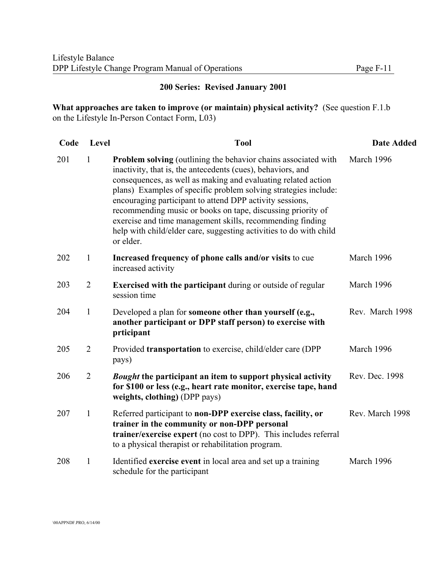#### **200 Series: Revised January 2001**

**What approaches are taken to improve (or maintain) physical activity?** (See question F.1.b on the Lifestyle In-Person Contact Form, L03)

| Code | Level          | <b>Tool</b>                                                                                                                                                                                                                                                                                                                                                                                                                                                                                                                                         | <b>Date Added</b> |
|------|----------------|-----------------------------------------------------------------------------------------------------------------------------------------------------------------------------------------------------------------------------------------------------------------------------------------------------------------------------------------------------------------------------------------------------------------------------------------------------------------------------------------------------------------------------------------------------|-------------------|
| 201  | $\mathbf{1}$   | <b>Problem solving</b> (outlining the behavior chains associated with<br>inactivity, that is, the antecedents (cues), behaviors, and<br>consequences, as well as making and evaluating related action<br>plans) Examples of specific problem solving strategies include:<br>encouraging participant to attend DPP activity sessions,<br>recommending music or books on tape, discussing priority of<br>exercise and time management skills, recommending finding<br>help with child/elder care, suggesting activities to do with child<br>or elder. | March 1996        |
| 202  | $\mathbf{1}$   | Increased frequency of phone calls and/or visits to cue<br>increased activity                                                                                                                                                                                                                                                                                                                                                                                                                                                                       | March 1996        |
| 203  | $\overline{2}$ | <b>Exercised with the participant during or outside of regular</b><br>session time                                                                                                                                                                                                                                                                                                                                                                                                                                                                  | March 1996        |
| 204  | $\mathbf{1}$   | Developed a plan for someone other than yourself (e.g.,<br>another participant or DPP staff person) to exercise with<br>prticipant                                                                                                                                                                                                                                                                                                                                                                                                                  | Rev. March 1998   |
| 205  | $\overline{2}$ | Provided transportation to exercise, child/elder care (DPP<br>pays)                                                                                                                                                                                                                                                                                                                                                                                                                                                                                 | March 1996        |
| 206  | $\overline{2}$ | <b>Bought the participant an item to support physical activity</b><br>for \$100 or less (e.g., heart rate monitor, exercise tape, hand<br>weights, clothing) (DPP pays)                                                                                                                                                                                                                                                                                                                                                                             | Rev. Dec. 1998    |
| 207  | $\mathbf{1}$   | Referred participant to non-DPP exercise class, facility, or<br>trainer in the community or non-DPP personal<br>trainer/exercise expert (no cost to DPP). This includes referral<br>to a physical therapist or rehabilitation program.                                                                                                                                                                                                                                                                                                              | Rev. March 1998   |
| 208  | $\mathbf{1}$   | Identified exercise event in local area and set up a training<br>schedule for the participant                                                                                                                                                                                                                                                                                                                                                                                                                                                       | March 1996        |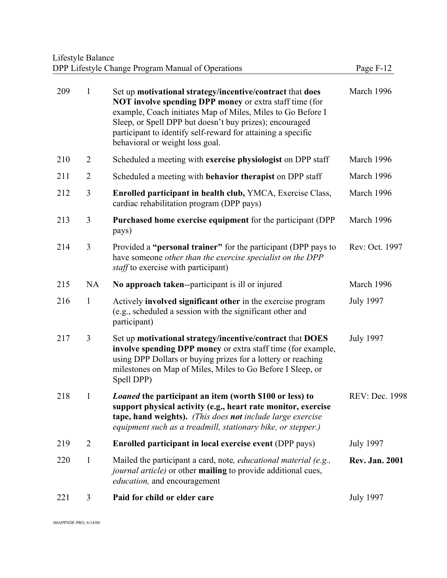#### Lifestyle Balance DPP Lifestyle Change Program Manual of Operations **Page F-12**

| 209 | $\mathbf{1}$   | Set up motivational strategy/incentive/contract that does<br><b>NOT involve spending DPP money or extra staff time (for</b><br>example, Coach initiates Map of Miles, Miles to Go Before I<br>Sleep, or Spell DPP but doesn't buy prizes); encouraged<br>participant to identify self-reward for attaining a specific<br>behavioral or weight loss goal. | March 1996            |
|-----|----------------|----------------------------------------------------------------------------------------------------------------------------------------------------------------------------------------------------------------------------------------------------------------------------------------------------------------------------------------------------------|-----------------------|
| 210 | $\overline{2}$ | Scheduled a meeting with exercise physiologist on DPP staff                                                                                                                                                                                                                                                                                              | March 1996            |
| 211 | $\overline{2}$ | Scheduled a meeting with behavior therapist on DPP staff                                                                                                                                                                                                                                                                                                 | March 1996            |
| 212 | 3              | <b>Enrolled participant in health club, YMCA, Exercise Class,</b><br>cardiac rehabilitation program (DPP pays)                                                                                                                                                                                                                                           | March 1996            |
| 213 | 3              | Purchased home exercise equipment for the participant (DPP)<br>pays)                                                                                                                                                                                                                                                                                     | March 1996            |
| 214 | 3              | Provided a " <b>personal trainer</b> " for the participant (DPP pays to<br>have someone other than the exercise specialist on the DPP<br><i>staff</i> to exercise with participant)                                                                                                                                                                      | Rev: Oct. 1997        |
| 215 | <b>NA</b>      | No approach taken--participant is ill or injured                                                                                                                                                                                                                                                                                                         | March 1996            |
| 216 | $\mathbf{1}$   | Actively involved significant other in the exercise program<br>(e.g., scheduled a session with the significant other and<br>participant)                                                                                                                                                                                                                 | <b>July 1997</b>      |
| 217 | 3              | Set up motivational strategy/incentive/contract that DOES<br>involve spending DPP money or extra staff time (for example,<br>using DPP Dollars or buying prizes for a lottery or reaching<br>milestones on Map of Miles, Miles to Go Before I Sleep, or<br>Spell DPP)                                                                                    | <b>July 1997</b>      |
| 218 | $\mathbf{1}$   | Loaned the participant an item (worth \$100 or less) to<br>support physical activity (e.g., heart rate monitor, exercise<br>tape, hand weights). (This does not include large exercise<br>equipment such as a treadmill, stationary bike, or stepper.)                                                                                                   | REV: Dec. 1998        |
| 219 | $\overline{2}$ | <b>Enrolled participant in local exercise event (DPP pays)</b>                                                                                                                                                                                                                                                                                           | <b>July 1997</b>      |
| 220 | $\mathbf{1}$   | Mailed the participant a card, note, <i>educational material</i> (e.g.,<br>journal article) or other mailing to provide additional cues,<br>education, and encouragement                                                                                                                                                                                 | <b>Rev. Jan. 2001</b> |
| 221 | 3              | Paid for child or elder care                                                                                                                                                                                                                                                                                                                             | <b>July 1997</b>      |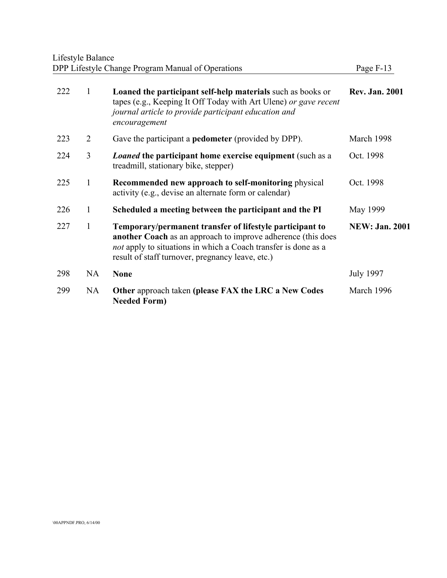### Lifestyle Balance DPP Lifestyle Change Program Manual of Operations **Page F-13**

| 222 | 1            | <b>Loaned the participant self-help materials such as books or</b><br>tapes (e.g., Keeping It Off Today with Art Ulene) or gave recent<br>journal article to provide participant education and<br>encouragement                                       | <b>Rev. Jan. 2001</b> |
|-----|--------------|-------------------------------------------------------------------------------------------------------------------------------------------------------------------------------------------------------------------------------------------------------|-----------------------|
| 223 | 2            | Gave the participant a <b>pedometer</b> (provided by DPP).                                                                                                                                                                                            | March 1998            |
| 224 | 3            | <i>Loaned</i> the participant home exercise equipment (such as a<br>treadmill, stationary bike, stepper)                                                                                                                                              | Oct. 1998             |
| 225 | 1            | Recommended new approach to self-monitoring physical<br>activity (e.g., devise an alternate form or calendar)                                                                                                                                         | Oct. 1998             |
| 226 | $\mathbf{1}$ | Scheduled a meeting between the participant and the PI                                                                                                                                                                                                | May 1999              |
| 227 | 1            | Temporary/permanent transfer of lifestyle participant to<br><b>another Coach</b> as an approach to improve adherence (this does<br>not apply to situations in which a Coach transfer is done as a<br>result of staff turnover, pregnancy leave, etc.) | <b>NEW: Jan. 2001</b> |
| 298 | <b>NA</b>    | <b>None</b>                                                                                                                                                                                                                                           | <b>July 1997</b>      |
| 299 | NA           | Other approach taken (please FAX the LRC a New Codes<br><b>Needed Form)</b>                                                                                                                                                                           | March 1996            |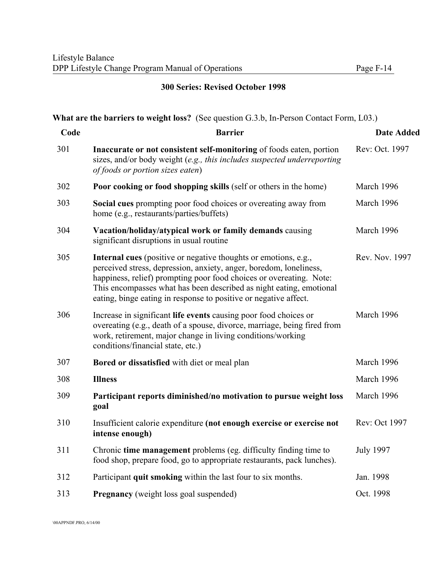### **300 Series: Revised October 1998**

# **What are the barriers to weight loss?** (See question G.3.b, In-Person Contact Form, L03.)

| <b>Barrier</b>                                                                                                                                                                                                                                                                                                                                                 | <b>Date Added</b> |
|----------------------------------------------------------------------------------------------------------------------------------------------------------------------------------------------------------------------------------------------------------------------------------------------------------------------------------------------------------------|-------------------|
| Inaccurate or not consistent self-monitoring of foods eaten, portion<br>sizes, and/or body weight (e.g., this includes suspected underreporting<br>of foods or portion sizes eaten)                                                                                                                                                                            | Rev: Oct. 1997    |
| <b>Poor cooking or food shopping skills (self or others in the home)</b>                                                                                                                                                                                                                                                                                       | March 1996        |
| Social cues prompting poor food choices or overeating away from<br>home (e.g., restaurants/parties/buffets)                                                                                                                                                                                                                                                    | March 1996        |
| Vacation/holiday/atypical work or family demands causing<br>significant disruptions in usual routine                                                                                                                                                                                                                                                           | March 1996        |
| <b>Internal cues</b> (positive or negative thoughts or emotions, e.g.,<br>perceived stress, depression, anxiety, anger, boredom, loneliness,<br>happiness, relief) prompting poor food choices or overeating. Note:<br>This encompasses what has been described as night eating, emotional<br>eating, binge eating in response to positive or negative affect. | Rev. Nov. 1997    |
| Increase in significant life events causing poor food choices or<br>overeating (e.g., death of a spouse, divorce, marriage, being fired from<br>work, retirement, major change in living conditions/working<br>conditions/financial state, etc.)                                                                                                               | March 1996        |
| Bored or dissatisfied with diet or meal plan                                                                                                                                                                                                                                                                                                                   | March 1996        |
| <b>Illness</b>                                                                                                                                                                                                                                                                                                                                                 | March 1996        |
| Participant reports diminished/no motivation to pursue weight loss<br>goal                                                                                                                                                                                                                                                                                     | March 1996        |
| Insufficient calorie expenditure (not enough exercise or exercise not<br>intense enough)                                                                                                                                                                                                                                                                       | Rev: Oct 1997     |
| Chronic time management problems (eg. difficulty finding time to<br>food shop, prepare food, go to appropriate restaurants, pack lunches).                                                                                                                                                                                                                     | <b>July 1997</b>  |
| Participant quit smoking within the last four to six months.                                                                                                                                                                                                                                                                                                   | Jan. 1998         |
| <b>Pregnancy</b> (weight loss goal suspended)                                                                                                                                                                                                                                                                                                                  | Oct. 1998         |
|                                                                                                                                                                                                                                                                                                                                                                |                   |

\00APPNDF.PRO, 6/14/00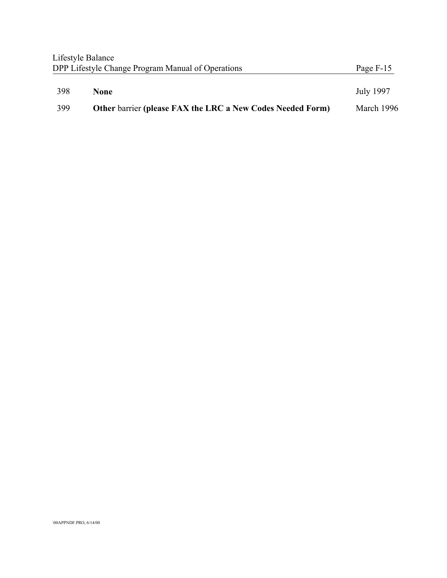|     | Lifestyle Balance<br>DPP Lifestyle Change Program Manual of Operations | Page F-15        |
|-----|------------------------------------------------------------------------|------------------|
| 398 | <b>None</b>                                                            | <b>July 1997</b> |
| 399 | <b>Other barrier (please FAX the LRC a New Codes Needed Form)</b>      | March 1996       |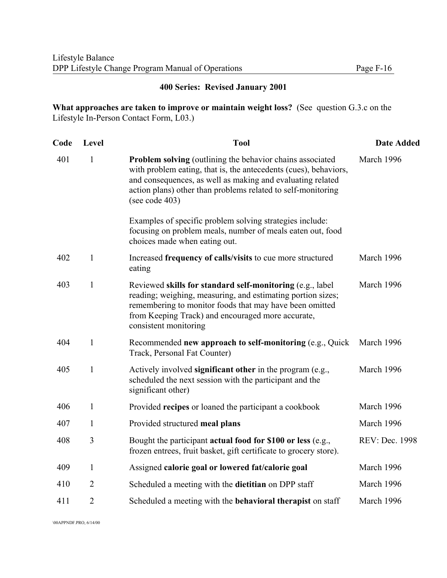#### **400 Series: Revised January 2001**

**What approaches are taken to improve or maintain weight loss?** (See question G.3.c on the Lifestyle In-Person Contact Form, L03.)

| Code | Level          | <b>Tool</b>                                                                                                                                                                                                                                                                      | <b>Date Added</b> |
|------|----------------|----------------------------------------------------------------------------------------------------------------------------------------------------------------------------------------------------------------------------------------------------------------------------------|-------------------|
| 401  | $\mathbf{1}$   | Problem solving (outlining the behavior chains associated<br>with problem eating, that is, the antecedents (cues), behaviors,<br>and consequences, as well as making and evaluating related<br>action plans) other than problems related to self-monitoring<br>(see code $403$ ) | March 1996        |
|      |                | Examples of specific problem solving strategies include:<br>focusing on problem meals, number of meals eaten out, food<br>choices made when eating out.                                                                                                                          |                   |
| 402  | $\mathbf{1}$   | Increased frequency of calls/visits to cue more structured<br>eating                                                                                                                                                                                                             | March 1996        |
| 403  | $\mathbf{1}$   | Reviewed skills for standard self-monitoring (e.g., label<br>reading; weighing, measuring, and estimating portion sizes;<br>remembering to monitor foods that may have been omitted<br>from Keeping Track) and encouraged more accurate,<br>consistent monitoring                | March 1996        |
| 404  | $\mathbf{1}$   | Recommended new approach to self-monitoring (e.g., Quick<br>Track, Personal Fat Counter)                                                                                                                                                                                         | March 1996        |
| 405  | $\mathbf{1}$   | Actively involved significant other in the program (e.g.,<br>scheduled the next session with the participant and the<br>significant other)                                                                                                                                       | March 1996        |
| 406  | $\mathbf{1}$   | Provided recipes or loaned the participant a cookbook                                                                                                                                                                                                                            | March 1996        |
| 407  | 1              | Provided structured meal plans                                                                                                                                                                                                                                                   | March 1996        |
| 408  | 3              | Bought the participant actual food for \$100 or less (e.g.,<br>frozen entrees, fruit basket, gift certificate to grocery store).                                                                                                                                                 | REV: Dec. 1998    |
| 409  | $\mathbf{1}$   | Assigned calorie goal or lowered fat/calorie goal                                                                                                                                                                                                                                | March 1996        |
| 410  | $\overline{2}$ | Scheduled a meeting with the dietitian on DPP staff                                                                                                                                                                                                                              | March 1996        |
| 411  | $\overline{2}$ | Scheduled a meeting with the <b>behavioral therapist</b> on staff                                                                                                                                                                                                                | March 1996        |
|      |                |                                                                                                                                                                                                                                                                                  |                   |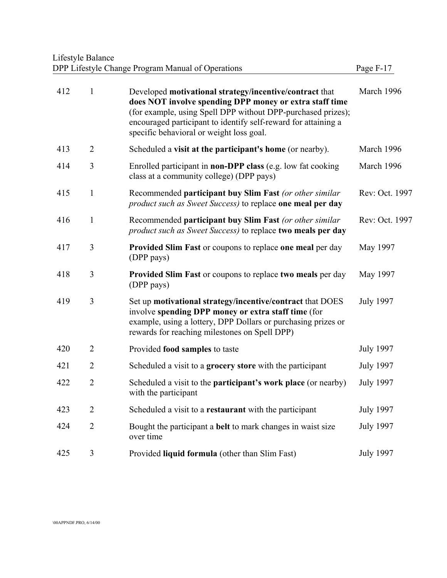#### Lifestyle Balance DPP Lifestyle Change Program Manual of Operations **Page F-17**

| σe<br>'n. |  |
|-----------|--|
|-----------|--|

| 412 | $\mathbf{1}$   | Developed motivational strategy/incentive/contract that<br>does NOT involve spending DPP money or extra staff time<br>(for example, using Spell DPP without DPP-purchased prizes);<br>encouraged participant to identify self-reward for attaining a<br>specific behavioral or weight loss goal. | March 1996       |
|-----|----------------|--------------------------------------------------------------------------------------------------------------------------------------------------------------------------------------------------------------------------------------------------------------------------------------------------|------------------|
| 413 | $\overline{2}$ | Scheduled a visit at the participant's home (or nearby).                                                                                                                                                                                                                                         | March 1996       |
| 414 | 3              | Enrolled participant in <b>non-DPP</b> class (e.g. low fat cooking<br>class at a community college) (DPP pays)                                                                                                                                                                                   | March 1996       |
| 415 | $\mathbf{1}$   | Recommended participant buy Slim Fast (or other similar<br><i>product such as Sweet Success</i> ) to replace one meal per day                                                                                                                                                                    | Rev: Oct. 1997   |
| 416 | $\mathbf{1}$   | Recommended participant buy Slim Fast (or other similar<br>product such as Sweet Success) to replace two meals per day                                                                                                                                                                           | Rev: Oct. 1997   |
| 417 | 3              | Provided Slim Fast or coupons to replace one meal per day<br>(DPP pays)                                                                                                                                                                                                                          | May 1997         |
| 418 | 3              | Provided Slim Fast or coupons to replace two meals per day<br>(DPP pays)                                                                                                                                                                                                                         | May 1997         |
| 419 | 3              | Set up motivational strategy/incentive/contract that DOES<br>involve spending DPP money or extra staff time (for<br>example, using a lottery, DPP Dollars or purchasing prizes or<br>rewards for reaching milestones on Spell DPP)                                                               | <b>July 1997</b> |
| 420 | $\overline{2}$ | Provided food samples to taste                                                                                                                                                                                                                                                                   | <b>July 1997</b> |
| 421 | $\overline{2}$ | Scheduled a visit to a grocery store with the participant                                                                                                                                                                                                                                        | <b>July 1997</b> |
| 422 | $\overline{2}$ | Scheduled a visit to the <b>participant's work place</b> (or nearby)<br>with the participant                                                                                                                                                                                                     | <b>July 1997</b> |
| 423 | $\overline{2}$ | Scheduled a visit to a restaurant with the participant                                                                                                                                                                                                                                           | <b>July 1997</b> |
| 424 | $\overline{2}$ | Bought the participant a <b>belt</b> to mark changes in waist size<br>over time                                                                                                                                                                                                                  | <b>July 1997</b> |
| 425 | 3              | Provided liquid formula (other than Slim Fast)                                                                                                                                                                                                                                                   | <b>July 1997</b> |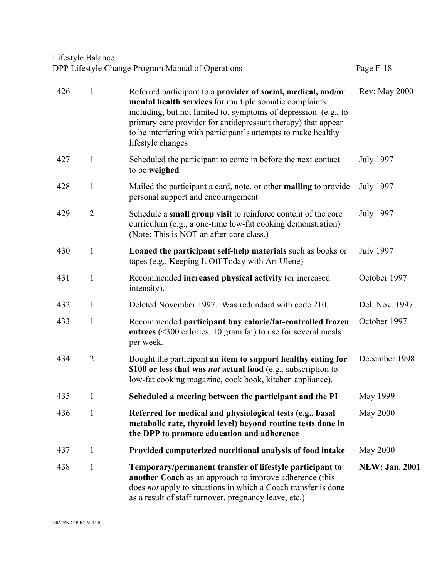# Lifestyle Balance DPP Lifestyle Change Program Manual of Operations Page F-18

| 426 | 1              | Referred participant to a provider of social, medical, and/or<br>mental health services for multiple somatic complaints<br>including, but not limited to, symptoms of depression (e.g., to<br>primary care provider for antidepressant therapy) that appear<br>to be interfering with participant's attempts to make healthy<br>lifestyle changes | Rev: May 2000         |
|-----|----------------|---------------------------------------------------------------------------------------------------------------------------------------------------------------------------------------------------------------------------------------------------------------------------------------------------------------------------------------------------|-----------------------|
| 427 | 1              | Scheduled the participant to come in before the next contact<br>to be weighed                                                                                                                                                                                                                                                                     | <b>July 1997</b>      |
| 428 | $\mathbf{1}$   | Mailed the participant a card, note, or other <b>mailing</b> to provide<br>personal support and encouragement                                                                                                                                                                                                                                     | <b>July 1997</b>      |
| 429 | $\overline{2}$ | Schedule a small group visit to reinforce content of the core<br>curriculum (e.g., a one-time low-fat cooking demonstration)<br>(Note: This is NOT an after-core class.)                                                                                                                                                                          | <b>July 1997</b>      |
| 430 | 1              | Loaned the participant self-help materials such as books or<br>tapes (e.g., Keeping It Off Today with Art Ulene)                                                                                                                                                                                                                                  | <b>July 1997</b>      |
| 431 | 1              | Recommended increased physical activity (or increased<br>intensity).                                                                                                                                                                                                                                                                              | October 1997          |
| 432 | $\mathbf{1}$   | Deleted November 1997. Was redundant with code 210.                                                                                                                                                                                                                                                                                               | Del. Nov. 1997        |
| 433 | 1              | Recommended participant buy calorie/fat-controlled frozen<br>entrees $($ <300 calories, 10 gram fat) to use for several meals<br>per week.                                                                                                                                                                                                        | October 1997          |
| 434 | $\overline{2}$ | Bought the participant an item to support healthy eating for<br>\$100 or less that was <i>not</i> actual food (e.g., subscription to<br>low-fat cooking magazine, cook book, kitchen appliance).                                                                                                                                                  | December 1998         |
| 435 | 1              | Scheduled a meeting between the participant and the PI                                                                                                                                                                                                                                                                                            | May 1999              |
| 436 |                | Referred for medical and physiological tests (e.g., basal<br>metabolic rate, thyroid level) beyond routine tests done in<br>the DPP to promote education and adherence                                                                                                                                                                            | May 2000              |
| 437 | 1              | Provided computerized nutritional analysis of food intake                                                                                                                                                                                                                                                                                         | May 2000              |
| 438 | $\mathbf{1}$   | Temporary/permanent transfer of lifestyle participant to<br>another Coach as an approach to improve adherence (this<br>does not apply to situations in which a Coach transfer is done<br>as a result of staff turnover, pregnancy leave, etc.)                                                                                                    | <b>NEW: Jan. 2001</b> |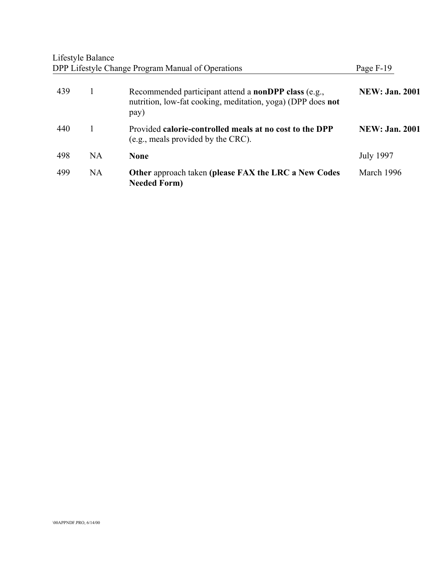|     | Lifestyle Balance | DPP Lifestyle Change Program Manual of Operations                                                                                  | Page F-19              |
|-----|-------------------|------------------------------------------------------------------------------------------------------------------------------------|------------------------|
| 439 | 1                 | Recommended participant attend a <b>nonDPP</b> class (e.g.,<br>nutrition, low-fat cooking, meditation, yoga) (DPP does not<br>pay) | <b>NEW: Jan. 2001</b>  |
| 440 |                   | Provided calorie-controlled meals at no cost to the DPP<br>(e.g., meals provided by the CRC).                                      | <b>NEW</b> : Jan. 2001 |
| 498 | NA                | <b>None</b>                                                                                                                        | <b>July 1997</b>       |
| 499 | <b>NA</b>         | <b>Other approach taken (please FAX the LRC a New Codes)</b><br><b>Needed Form)</b>                                                | March 1996             |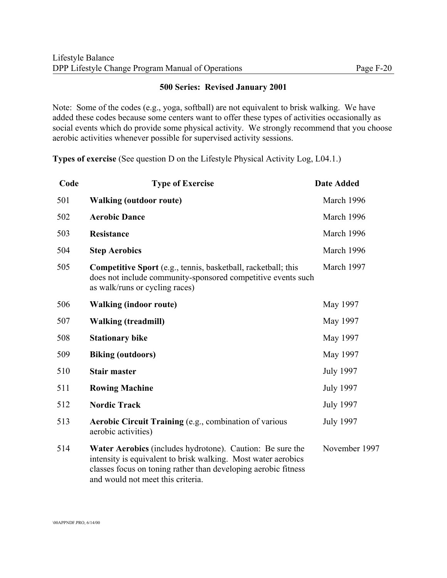#### **500 Series: Revised January 2001**

Note: Some of the codes (e.g., yoga, softball) are not equivalent to brisk walking. We have added these codes because some centers want to offer these types of activities occasionally as social events which do provide some physical activity. We strongly recommend that you choose aerobic activities whenever possible for supervised activity sessions.

**Types of exercise** (See question D on the Lifestyle Physical Activity Log, L04.1.)

| Code | <b>Type of Exercise</b>                                                                                                                                                                                                           | <b>Date Added</b> |  |  |
|------|-----------------------------------------------------------------------------------------------------------------------------------------------------------------------------------------------------------------------------------|-------------------|--|--|
| 501  | <b>Walking (outdoor route)</b>                                                                                                                                                                                                    | March 1996        |  |  |
| 502  | <b>Aerobic Dance</b>                                                                                                                                                                                                              | March 1996        |  |  |
| 503  | <b>Resistance</b>                                                                                                                                                                                                                 | March 1996        |  |  |
| 504  | <b>Step Aerobics</b>                                                                                                                                                                                                              | March 1996        |  |  |
| 505  | <b>Competitive Sport</b> (e.g., tennis, basketball, racketball; this<br>does not include community-sponsored competitive events such<br>as walk/runs or cycling races)                                                            | March 1997        |  |  |
| 506  | <b>Walking (indoor route)</b>                                                                                                                                                                                                     | May 1997          |  |  |
| 507  | <b>Walking (treadmill)</b>                                                                                                                                                                                                        | May 1997          |  |  |
| 508  | <b>Stationary bike</b>                                                                                                                                                                                                            | May 1997          |  |  |
| 509  | <b>Biking (outdoors)</b>                                                                                                                                                                                                          | May 1997          |  |  |
| 510  | <b>Stair master</b>                                                                                                                                                                                                               | <b>July 1997</b>  |  |  |
| 511  | <b>Rowing Machine</b>                                                                                                                                                                                                             | <b>July 1997</b>  |  |  |
| 512  | <b>Nordic Track</b>                                                                                                                                                                                                               | <b>July 1997</b>  |  |  |
| 513  | Aerobic Circuit Training (e.g., combination of various<br>aerobic activities)                                                                                                                                                     | <b>July 1997</b>  |  |  |
| 514  | Water Aerobics (includes hydrotone). Caution: Be sure the<br>intensity is equivalent to brisk walking. Most water aerobics<br>classes focus on toning rather than developing aerobic fitness<br>and would not meet this criteria. | November 1997     |  |  |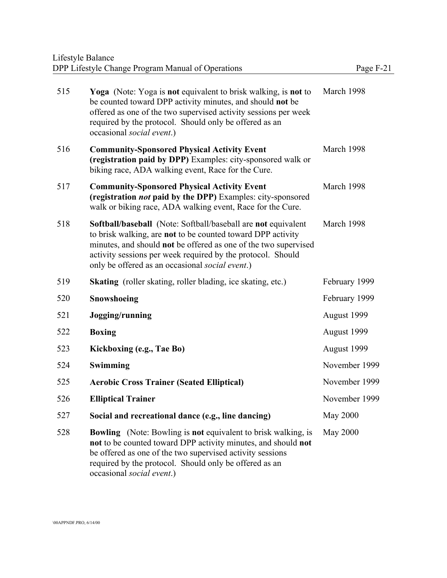| 515 | Yoga (Note: Yoga is not equivalent to brisk walking, is not to<br>be counted toward DPP activity minutes, and should not be<br>offered as one of the two supervised activity sessions per week<br>required by the protocol. Should only be offered as an<br>occasional social event.)                                    | March 1998      |
|-----|--------------------------------------------------------------------------------------------------------------------------------------------------------------------------------------------------------------------------------------------------------------------------------------------------------------------------|-----------------|
| 516 | <b>Community-Sponsored Physical Activity Event</b><br>(registration paid by DPP) Examples: city-sponsored walk or<br>biking race, ADA walking event, Race for the Cure.                                                                                                                                                  | March 1998      |
| 517 | <b>Community-Sponsored Physical Activity Event</b><br>(registration <i>not</i> paid by the DPP) Examples: city-sponsored<br>walk or biking race, ADA walking event, Race for the Cure.                                                                                                                                   | March 1998      |
| 518 | <b>Softball/baseball</b> (Note: Softball/baseball are not equivalent<br>to brisk walking, are not to be counted toward DPP activity<br>minutes, and should not be offered as one of the two supervised<br>activity sessions per week required by the protocol. Should<br>only be offered as an occasional social event.) | March 1998      |
| 519 | <b>Skating</b> (roller skating, roller blading, ice skating, etc.)                                                                                                                                                                                                                                                       | February 1999   |
| 520 | Snowshoeing                                                                                                                                                                                                                                                                                                              | February 1999   |
| 521 | Jogging/running                                                                                                                                                                                                                                                                                                          | August 1999     |
| 522 | <b>Boxing</b>                                                                                                                                                                                                                                                                                                            | August 1999     |
| 523 | Kickboxing (e.g., Tae Bo)                                                                                                                                                                                                                                                                                                | August 1999     |
| 524 | Swimming                                                                                                                                                                                                                                                                                                                 | November 1999   |
| 525 | <b>Aerobic Cross Trainer (Seated Elliptical)</b>                                                                                                                                                                                                                                                                         | November 1999   |
| 526 | <b>Elliptical Trainer</b>                                                                                                                                                                                                                                                                                                | November 1999   |
| 527 | Social and recreational dance (e.g., line dancing)                                                                                                                                                                                                                                                                       | <b>May 2000</b> |
| 528 | <b>Bowling</b> (Note: Bowling is <b>not</b> equivalent to brisk walking, is<br>not to be counted toward DPP activity minutes, and should not<br>be offered as one of the two supervised activity sessions<br>required by the protocol. Should only be offered as an<br>occasional social event.)                         | May 2000        |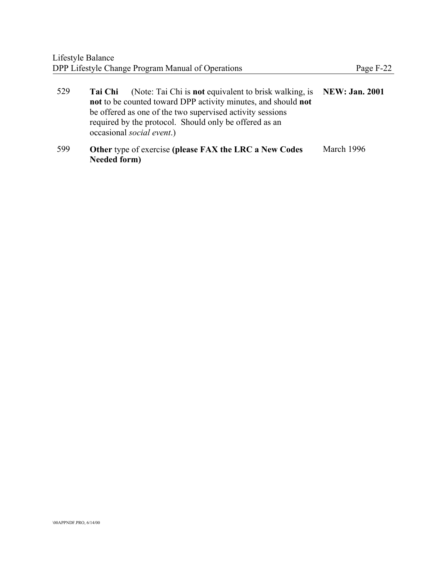| 529        | (Note: Tai Chi is not equivalent to brisk walking, is NEW: Jan. 2001)<br>Tai Chi                                                                   |  |
|------------|----------------------------------------------------------------------------------------------------------------------------------------------------|--|
|            | not to be counted toward DPP activity minutes, and should not                                                                                      |  |
|            | be offered as one of the two supervised activity sessions                                                                                          |  |
|            | required by the protocol. Should only be offered as an                                                                                             |  |
|            | occasional <i>social event</i> .)                                                                                                                  |  |
| $\sqrt{2}$ | $\Omega$ and $\Omega$ is the state of $\Omega$ is the state of $\Omega$ is the state of $\Omega$ is the state of $\Omega$ is the state of $\Omega$ |  |

599 **Other** type of exercise **(please FAX the LRC a New Codes** March 1996**Needed form)**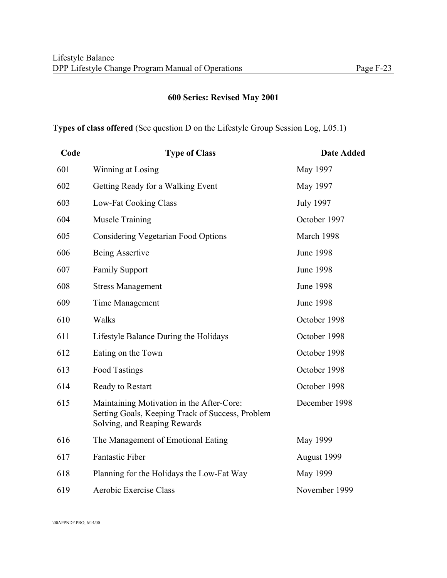## **600 Series: Revised May 2001**

#### **Types of class offered** (See question D on the Lifestyle Group Session Log, L05.1)

| Code | <b>Type of Class</b>                                                                                                          | <b>Date Added</b> |  |  |
|------|-------------------------------------------------------------------------------------------------------------------------------|-------------------|--|--|
| 601  | Winning at Losing                                                                                                             | May 1997          |  |  |
| 602  | Getting Ready for a Walking Event                                                                                             | May 1997          |  |  |
| 603  | Low-Fat Cooking Class                                                                                                         | <b>July 1997</b>  |  |  |
| 604  | <b>Muscle Training</b>                                                                                                        | October 1997      |  |  |
| 605  | <b>Considering Vegetarian Food Options</b>                                                                                    | March 1998        |  |  |
| 606  | Being Assertive                                                                                                               | <b>June 1998</b>  |  |  |
| 607  | <b>Family Support</b>                                                                                                         | <b>June 1998</b>  |  |  |
| 608  | <b>Stress Management</b>                                                                                                      | <b>June 1998</b>  |  |  |
| 609  | Time Management                                                                                                               | <b>June 1998</b>  |  |  |
| 610  | Walks                                                                                                                         | October 1998      |  |  |
| 611  | Lifestyle Balance During the Holidays                                                                                         | October 1998      |  |  |
| 612  | Eating on the Town                                                                                                            | October 1998      |  |  |
| 613  | <b>Food Tastings</b>                                                                                                          | October 1998      |  |  |
| 614  | Ready to Restart                                                                                                              | October 1998      |  |  |
| 615  | Maintaining Motivation in the After-Core:<br>Setting Goals, Keeping Track of Success, Problem<br>Solving, and Reaping Rewards | December 1998     |  |  |
| 616  | The Management of Emotional Eating                                                                                            | May 1999          |  |  |
| 617  | <b>Fantastic Fiber</b>                                                                                                        | August 1999       |  |  |
| 618  | Planning for the Holidays the Low-Fat Way                                                                                     | May 1999          |  |  |
| 619  | Aerobic Exercise Class                                                                                                        | November 1999     |  |  |

\00APPNDF.PRO, 6/14/00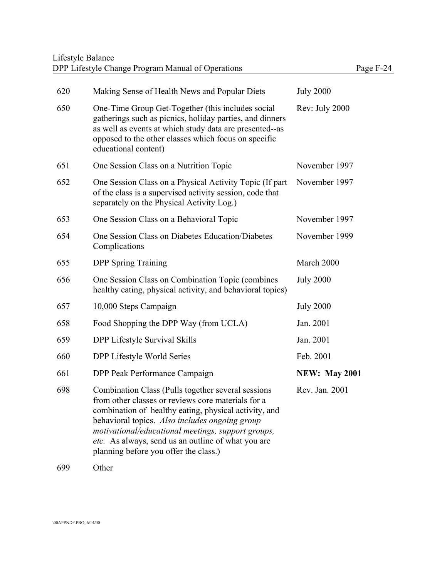| 620 | Making Sense of Health News and Popular Diets                                                                                                                                                                                                                                                                                                                             | <b>July 2000</b>     |
|-----|---------------------------------------------------------------------------------------------------------------------------------------------------------------------------------------------------------------------------------------------------------------------------------------------------------------------------------------------------------------------------|----------------------|
| 650 | One-Time Group Get-Together (this includes social<br>gatherings such as picnics, holiday parties, and dinners<br>as well as events at which study data are presented--as<br>opposed to the other classes which focus on specific<br>educational content)                                                                                                                  | Rev: July 2000       |
| 651 | One Session Class on a Nutrition Topic                                                                                                                                                                                                                                                                                                                                    | November 1997        |
| 652 | One Session Class on a Physical Activity Topic (If part<br>of the class is a supervised activity session, code that<br>separately on the Physical Activity Log.)                                                                                                                                                                                                          | November 1997        |
| 653 | One Session Class on a Behavioral Topic                                                                                                                                                                                                                                                                                                                                   | November 1997        |
| 654 | One Session Class on Diabetes Education/Diabetes<br>Complications                                                                                                                                                                                                                                                                                                         | November 1999        |
| 655 | <b>DPP</b> Spring Training                                                                                                                                                                                                                                                                                                                                                | March 2000           |
| 656 | One Session Class on Combination Topic (combines<br>healthy eating, physical activity, and behavioral topics)                                                                                                                                                                                                                                                             | <b>July 2000</b>     |
| 657 | 10,000 Steps Campaign                                                                                                                                                                                                                                                                                                                                                     | <b>July 2000</b>     |
| 658 | Food Shopping the DPP Way (from UCLA)                                                                                                                                                                                                                                                                                                                                     | Jan. 2001            |
| 659 | DPP Lifestyle Survival Skills                                                                                                                                                                                                                                                                                                                                             | Jan. 2001            |
| 660 | DPP Lifestyle World Series                                                                                                                                                                                                                                                                                                                                                | Feb. 2001            |
| 661 | DPP Peak Performance Campaign                                                                                                                                                                                                                                                                                                                                             | <b>NEW: May 2001</b> |
| 698 | Combination Class (Pulls together several sessions)<br>from other classes or reviews core materials for a<br>combination of healthy eating, physical activity, and<br>behavioral topics. Also includes ongoing group<br>motivational/educational meetings, support groups,<br>etc. As always, send us an outline of what you are<br>planning before you offer the class.) | Rev. Jan. 2001       |

699 Other